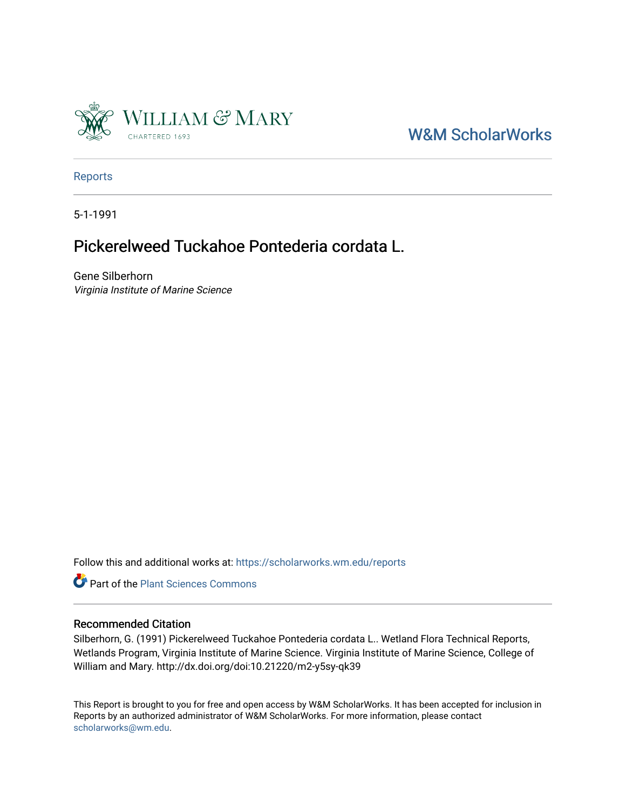

## [W&M ScholarWorks](https://scholarworks.wm.edu/)

[Reports](https://scholarworks.wm.edu/reports)

5-1-1991

### Pickerelweed Tuckahoe Pontederia cordata L.

Gene Silberhorn Virginia Institute of Marine Science

Follow this and additional works at: [https://scholarworks.wm.edu/reports](https://scholarworks.wm.edu/reports?utm_source=scholarworks.wm.edu%2Freports%2F461&utm_medium=PDF&utm_campaign=PDFCoverPages)



### Recommended Citation

Silberhorn, G. (1991) Pickerelweed Tuckahoe Pontederia cordata L.. Wetland Flora Technical Reports, Wetlands Program, Virginia Institute of Marine Science. Virginia Institute of Marine Science, College of William and Mary. http://dx.doi.org/doi:10.21220/m2-y5sy-qk39

This Report is brought to you for free and open access by W&M ScholarWorks. It has been accepted for inclusion in Reports by an authorized administrator of W&M ScholarWorks. For more information, please contact [scholarworks@wm.edu.](mailto:scholarworks@wm.edu)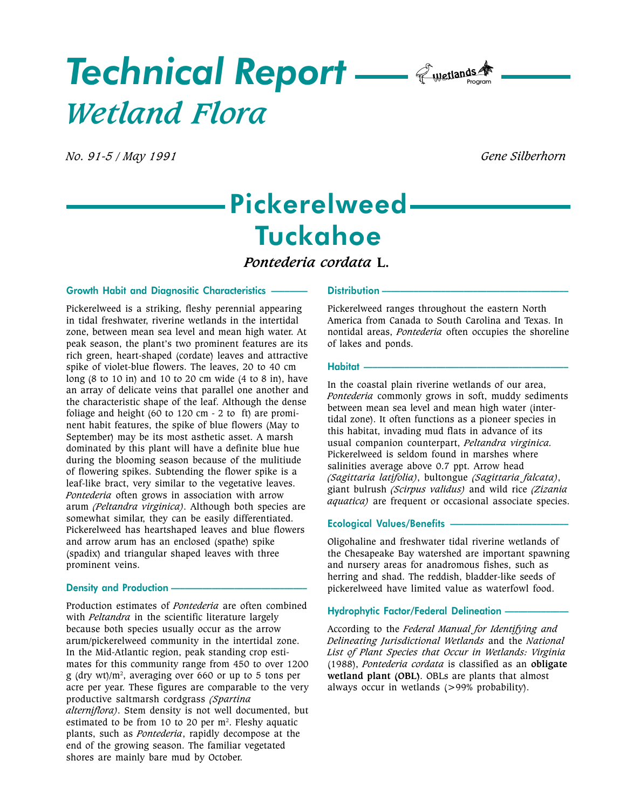# Technical Report — *E*wetlands A Wetland Flora

No. 91-5 / May 1991 Gene Silberhorn

# Pickerelweed Tuckahoe

Pontederia cordata L.

#### Growth Habit and Diagnositic Characteristics

Pickerelweed is a striking, fleshy perennial appearing in tidal freshwater, riverine wetlands in the intertidal zone, between mean sea level and mean high water. At peak season, the plant's two prominent features are its rich green, heart-shaped (cordate) leaves and attractive spike of violet-blue flowers. The leaves, 20 to 40 cm long (8 to 10 in) and 10 to 20 cm wide (4 to 8 in), have an array of delicate veins that parallel one another and the characteristic shape of the leaf. Although the dense foliage and height (60 to 120 cm - 2 to ft) are prominent habit features, the spike of blue flowers (May to September) may be its most asthetic asset. A marsh dominated by this plant will have a definite blue hue during the blooming season because of the mulitiude of flowering spikes. Subtending the flower spike is a leaf-like bract, very similar to the vegetative leaves. Pontederia often grows in association with arrow arum (Peltandra virginica). Although both species are somewhat similar, they can be easily differentiated. Pickerelweed has heartshaped leaves and blue flowers and arrow arum has an enclosed (spathe) spike (spadix) and triangular shaped leaves with three prominent veins.

#### Density and Production -

Production estimates of Pontederia are often combined with *Peltandra* in the scientific literature largely because both species usually occur as the arrow arum/pickerelweed community in the intertidal zone. In the Mid-Atlantic region, peak standing crop estimates for this community range from 450 to over 1200 g (dry wt)/m2 , averaging over 660 or up to 5 tons per acre per year. These figures are comparable to the very productive saltmarsh cordgrass (Spartina alterniflora). Stem density is not well documented, but estimated to be from 10 to 20 per  $m<sup>2</sup>$ . Fleshy aquatic plants, such as Pontederia, rapidly decompose at the end of the growing season. The familiar vegetated shores are mainly bare mud by October.

#### Distribution-

Pickerelweed ranges throughout the eastern North America from Canada to South Carolina and Texas. In nontidal areas, Pontederia often occupies the shoreline of lakes and ponds.

#### Habitat

In the coastal plain riverine wetlands of our area, Pontederia commonly grows in soft, muddy sediments between mean sea level and mean high water (intertidal zone). It often functions as a pioneer species in this habitat, invading mud flats in advance of its usual companion counterpart, Peltandra virginica. Pickerelweed is seldom found in marshes where salinities average above 0.7 ppt. Arrow head (Sagittaria latifolia), bultongue (Sagittaria falcata), giant bulrush (Scirpus validus) and wild rice (Zizania aquatica) are frequent or occasional associate species.

#### Ecological Values/Benefits

Oligohaline and freshwater tidal riverine wetlands of the Chesapeake Bay watershed are important spawning and nursery areas for anadromous fishes, such as herring and shad. The reddish, bladder-like seeds of pickerelweed have limited value as waterfowl food.

#### Hydrophytic Factor/Federal Delineation

According to the Federal Manual for Identifying and Delineating Jurisdictional Wetlands and the National List of Plant Species that Occur in Wetlands: Virginia (1988), Pontederia cordata is classified as an obligate wetland plant (OBL). OBLs are plants that almost always occur in wetlands (>99% probability).